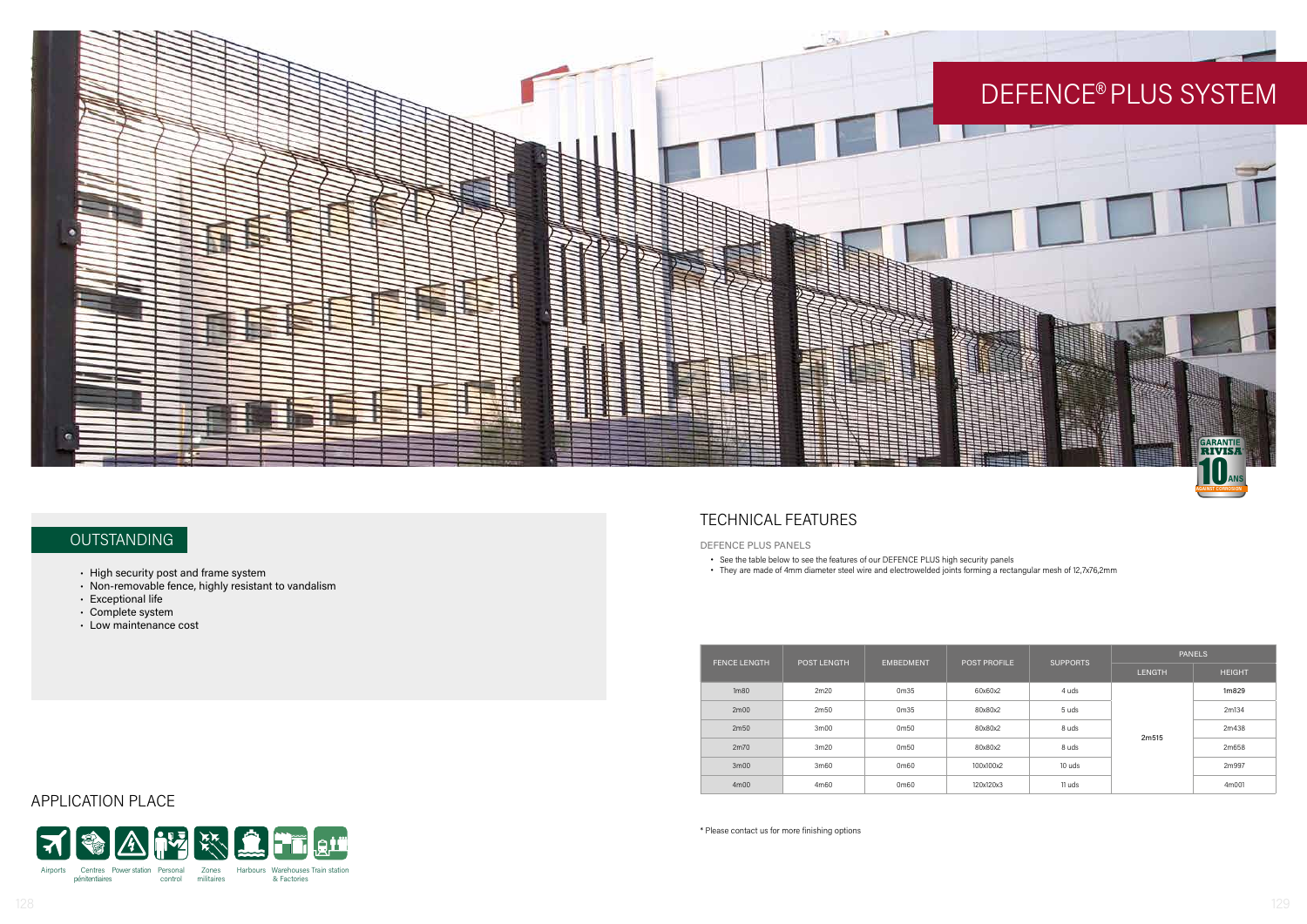APPLICATION PLACE



# **OUTSTANDING**

- High security post and frame system
- Non-removable fence, highly resistant to vandalism
- Exceptional life
- Complete system
- Low maintenance cost



# TECHNICAL FEATURES

| <b>FENCE LENGTH</b> | POST LENGTH       | <b>EMBEDMENT</b>  | <b>POST PROFILE</b> | <b>SUPPORTS</b> | <b>PANELS</b> |               |
|---------------------|-------------------|-------------------|---------------------|-----------------|---------------|---------------|
|                     |                   |                   |                     |                 | <b>LENGTH</b> | <b>HEIGHT</b> |
| 1 <sub>m80</sub>    | 2m20              | 0m35              | 60x60x2             | 4 uds           | 2m515         | 1m829         |
| 2m00                | 2m50              | 0m35              | 80x80x2             | 5 uds           |               | 2m134         |
| 2m50                | 3 <sub>m</sub> 00 | 0m50              | 80x80x2             | 8 uds           |               | 2m438         |
| 2m70                | 3m20              | 0m50              | 80x80x2             | 8 uds           |               | 2m658         |
| 3m <sub>00</sub>    | 3m60              | 0 <sub>m</sub> 60 | 100x100x2           | 10 uds          |               | 2m997         |
| 4m00                | 4m60              | 0 <sub>m</sub> 60 | 120x120x3           | 11 uds          |               | 4m001         |

\* Please contact us for more finishing options

- See the table below to see the features of our DEFENCE PLUS high security panels
- They are made of 4mm diameter steel wire and electrowelded joints forming a rectangular mesh of 12,7x76,2mm

DEFENCE PLUS PANELS